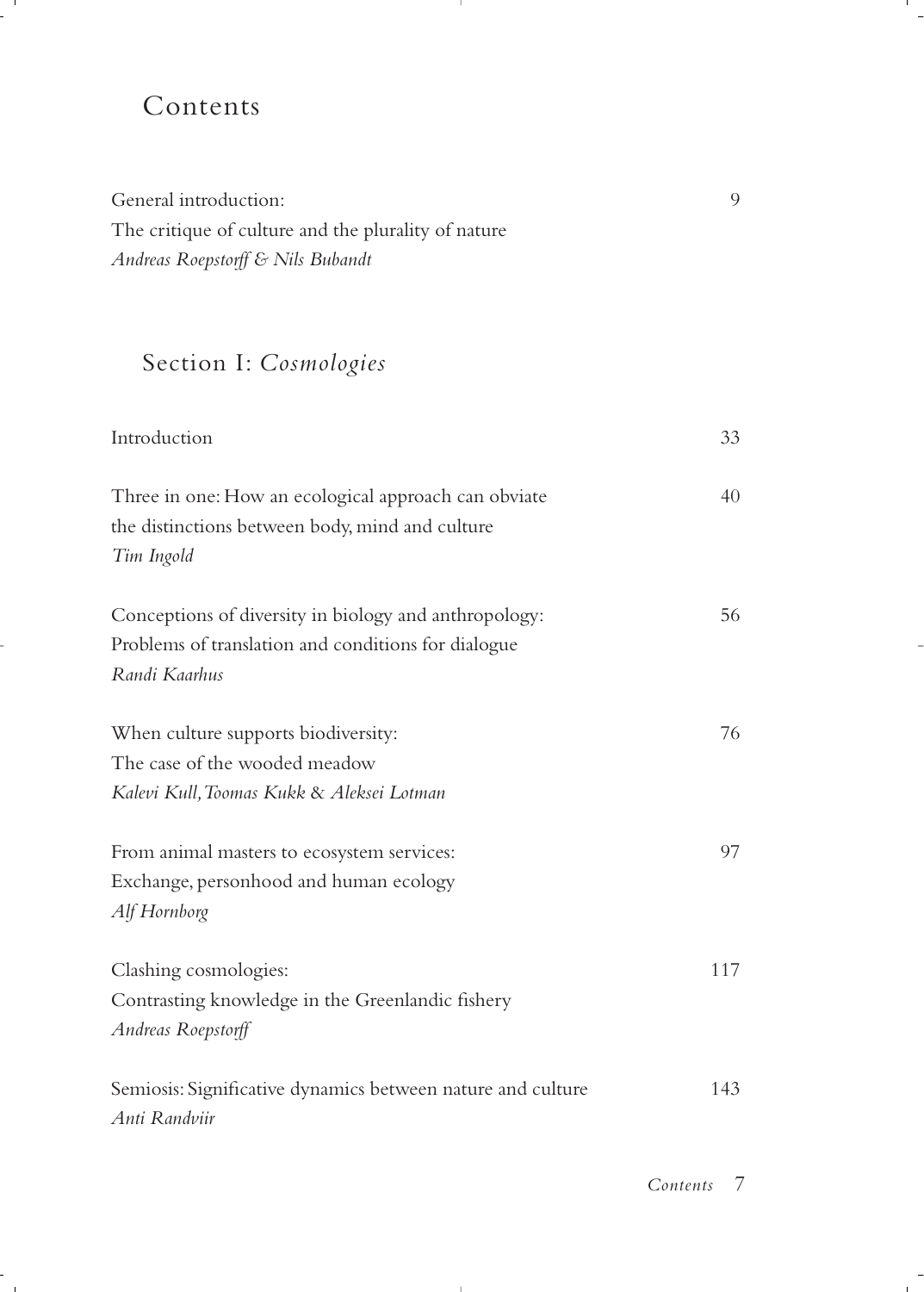## Contents

General introduction: 9 The critique of culture and the plurality of nature *Andreas Roepstorff & Nils Bubandt*

## Section I: *Cosmologies*

| Introduction                                                                                                                  | 33  |
|-------------------------------------------------------------------------------------------------------------------------------|-----|
| Three in one: How an ecological approach can obviate<br>the distinctions between body, mind and culture<br>Tim Ingold         | 40  |
| Conceptions of diversity in biology and anthropology:<br>Problems of translation and conditions for dialogue<br>Randi Kaarhus | 56  |
| When culture supports biodiversity:<br>The case of the wooded meadow<br>Kalevi Kull, Toomas Kukk & Aleksei Lotman             | 76  |
| From animal masters to ecosystem services:<br>Exchange, personhood and human ecology<br>Alf Hornborg                          | 97  |
| Clashing cosmologies:<br>Contrasting knowledge in the Greenlandic fishery<br>Andreas Roepstorff                               | 117 |
| Semiosis: Significative dynamics between nature and culture<br>Anti Randviir                                                  | 143 |

*Contents 7*